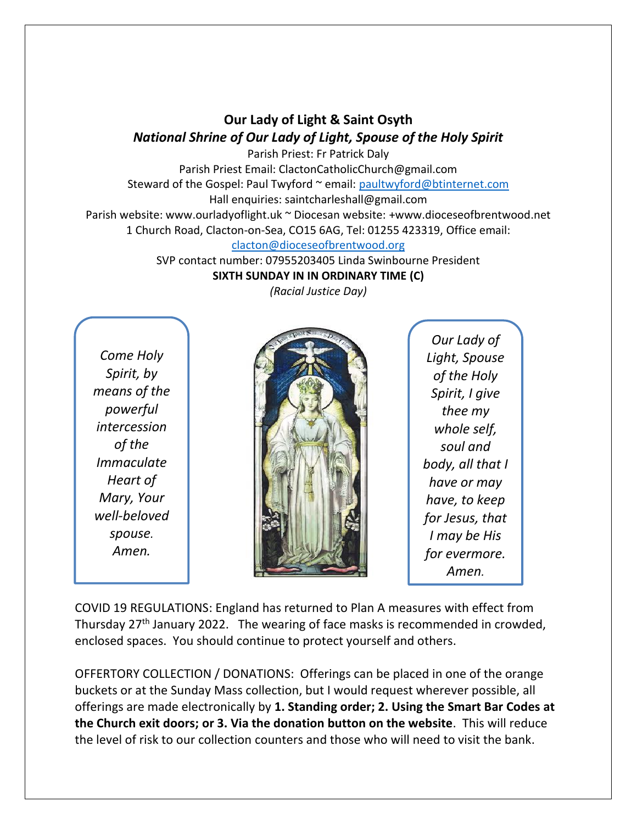## **Our Lady of Light & Saint Osyth** *National Shrine of Our Lady of Light, Spouse of the Holy Spirit*

Parish Priest: Fr Patrick Daly Parish Priest Email: ClactonCatholicChurch@gmail.com Steward of the Gospel: Paul Twyford ~ email: [paultwyford@btinternet.com](mailto:paultwyford@btinternet.com) Hall enquiries: saintcharleshall@gmail.com Parish website: www.ourladyoflight.uk ~ Diocesan website: +www.dioceseofbrentwood.net

1 Church Road, Clacton-on-Sea, CO15 6AG, Tel: 01255 423319, Office email:

[clacton@dioceseofbrentwood.org](mailto:clacton@dioceseofbrentwood.org)

SVP contact number: 07955203405 Linda Swinbourne President **SIXTH SUNDAY IN IN ORDINARY TIME (C)**

*Come Holy Spirit, by means of the powerful intercession of the Immaculate Heart of Mary, Your well-beloved spouse. Amen.*



*Our Lady of Light, Spouse of the Holy Spirit, I give thee my whole self, soul and body, all that I have or may have, to keep for Jesus, that I may be His for evermore. Amen.*

COVID 19 REGULATIONS: England has returned to Plan A measures with effect from Thursday  $27<sup>th</sup>$  January 2022. The wearing of face masks is recommended in crowded, enclosed spaces. You should continue to protect yourself and others.

OFFERTORY COLLECTION / DONATIONS: Offerings can be placed in one of the orange buckets or at the Sunday Mass collection, but I would request wherever possible, all offerings are made electronically by **1. Standing order; 2. Using the Smart Bar Codes at the Church exit doors; or 3. Via the donation button on the website**. This will reduce the level of risk to our collection counters and those who will need to visit the bank.

*(Racial Justice Day)*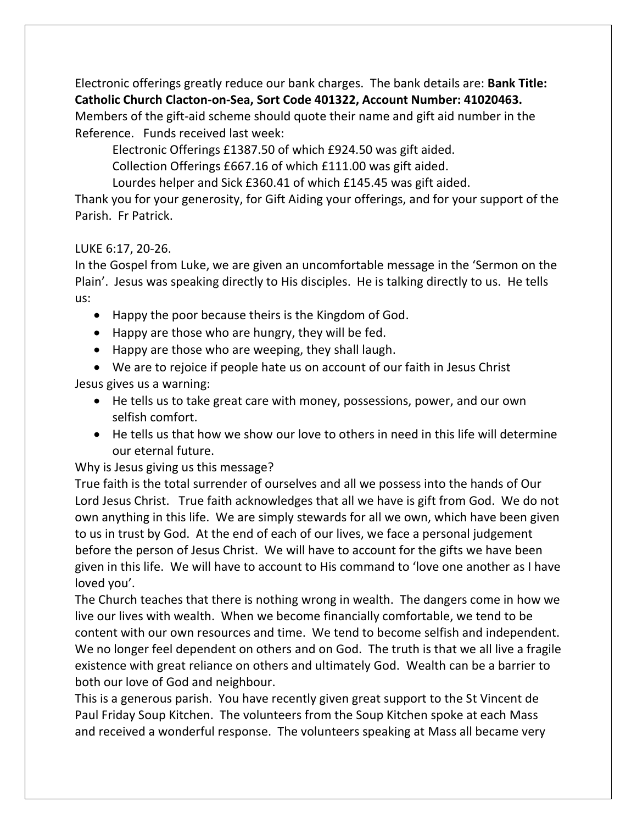Electronic offerings greatly reduce our bank charges. The bank details are: **Bank Title: Catholic Church Clacton-on-Sea, Sort Code 401322, Account Number: 41020463.** Members of the gift-aid scheme should quote their name and gift aid number in the Reference. Funds received last week:

Electronic Offerings £1387.50 of which £924.50 was gift aided.

Collection Offerings £667.16 of which £111.00 was gift aided.

Lourdes helper and Sick £360.41 of which £145.45 was gift aided.

Thank you for your generosity, for Gift Aiding your offerings, and for your support of the Parish. Fr Patrick.

## LUKE 6:17, 20-26.

In the Gospel from Luke, we are given an uncomfortable message in the 'Sermon on the Plain'. Jesus was speaking directly to His disciples. He is talking directly to us. He tells us:

- Happy the poor because theirs is the Kingdom of God.
- Happy are those who are hungry, they will be fed.
- Happy are those who are weeping, they shall laugh.

• We are to rejoice if people hate us on account of our faith in Jesus Christ Jesus gives us a warning:

- He tells us to take great care with money, possessions, power, and our own selfish comfort.
- He tells us that how we show our love to others in need in this life will determine our eternal future.

Why is Jesus giving us this message?

True faith is the total surrender of ourselves and all we possess into the hands of Our Lord Jesus Christ. True faith acknowledges that all we have is gift from God. We do not own anything in this life. We are simply stewards for all we own, which have been given to us in trust by God. At the end of each of our lives, we face a personal judgement before the person of Jesus Christ. We will have to account for the gifts we have been given in this life. We will have to account to His command to 'love one another as I have loved you'.

The Church teaches that there is nothing wrong in wealth. The dangers come in how we live our lives with wealth. When we become financially comfortable, we tend to be content with our own resources and time. We tend to become selfish and independent. We no longer feel dependent on others and on God. The truth is that we all live a fragile existence with great reliance on others and ultimately God. Wealth can be a barrier to both our love of God and neighbour.

This is a generous parish. You have recently given great support to the St Vincent de Paul Friday Soup Kitchen. The volunteers from the Soup Kitchen spoke at each Mass and received a wonderful response. The volunteers speaking at Mass all became very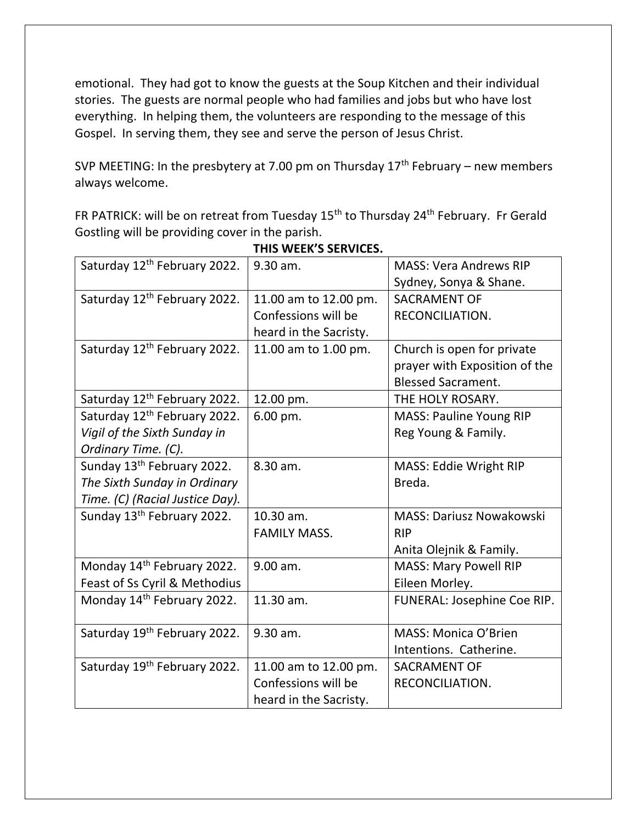emotional. They had got to know the guests at the Soup Kitchen and their individual stories. The guests are normal people who had families and jobs but who have lost everything. In helping them, the volunteers are responding to the message of this Gospel. In serving them, they see and serve the person of Jesus Christ.

SVP MEETING: In the presbytery at 7.00 pm on Thursday  $17<sup>th</sup>$  February – new members always welcome.

FR PATRICK: will be on retreat from Tuesday 15<sup>th</sup> to Thursday 24<sup>th</sup> February. Fr Gerald Gostling will be providing cover in the parish.

| Saturday 12 <sup>th</sup> February 2022. | 9.30 am.               | <b>MASS: Vera Andrews RIP</b>   |
|------------------------------------------|------------------------|---------------------------------|
|                                          |                        | Sydney, Sonya & Shane.          |
| Saturday 12 <sup>th</sup> February 2022. | 11.00 am to 12.00 pm.  | <b>SACRAMENT OF</b>             |
|                                          | Confessions will be    | RECONCILIATION.                 |
|                                          | heard in the Sacristy. |                                 |
| Saturday 12 <sup>th</sup> February 2022. | 11.00 am to 1.00 pm.   | Church is open for private      |
|                                          |                        | prayer with Exposition of the   |
|                                          |                        | <b>Blessed Sacrament.</b>       |
| Saturday 12 <sup>th</sup> February 2022. | 12.00 pm.              | THE HOLY ROSARY.                |
| Saturday 12 <sup>th</sup> February 2022. | 6.00 pm.               | <b>MASS: Pauline Young RIP</b>  |
| Vigil of the Sixth Sunday in             |                        | Reg Young & Family.             |
| Ordinary Time. (C).                      |                        |                                 |
| Sunday 13 <sup>th</sup> February 2022.   | 8.30 am.               | MASS: Eddie Wright RIP          |
| The Sixth Sunday in Ordinary             |                        | Breda.                          |
| Time. (C) (Racial Justice Day).          |                        |                                 |
| Sunday 13 <sup>th</sup> February 2022.   | 10.30 am.              | <b>MASS: Dariusz Nowakowski</b> |
|                                          | <b>FAMILY MASS.</b>    | <b>RIP</b>                      |
|                                          |                        | Anita Olejnik & Family.         |
| Monday 14 <sup>th</sup> February 2022.   | 9.00 am.               | <b>MASS: Mary Powell RIP</b>    |
| Feast of Ss Cyril & Methodius            |                        | Eileen Morley.                  |
| Monday 14 <sup>th</sup> February 2022.   | 11.30 am.              | FUNERAL: Josephine Coe RIP.     |
|                                          |                        |                                 |
| Saturday 19th February 2022.             | 9.30 am.               | <b>MASS: Monica O'Brien</b>     |
|                                          |                        | Intentions. Catherine.          |
| Saturday 19th February 2022.             | 11.00 am to 12.00 pm.  | <b>SACRAMENT OF</b>             |
|                                          | Confessions will be    | RECONCILIATION.                 |
|                                          | heard in the Sacristy. |                                 |

## **THIS WEEK'S SERVICES.**